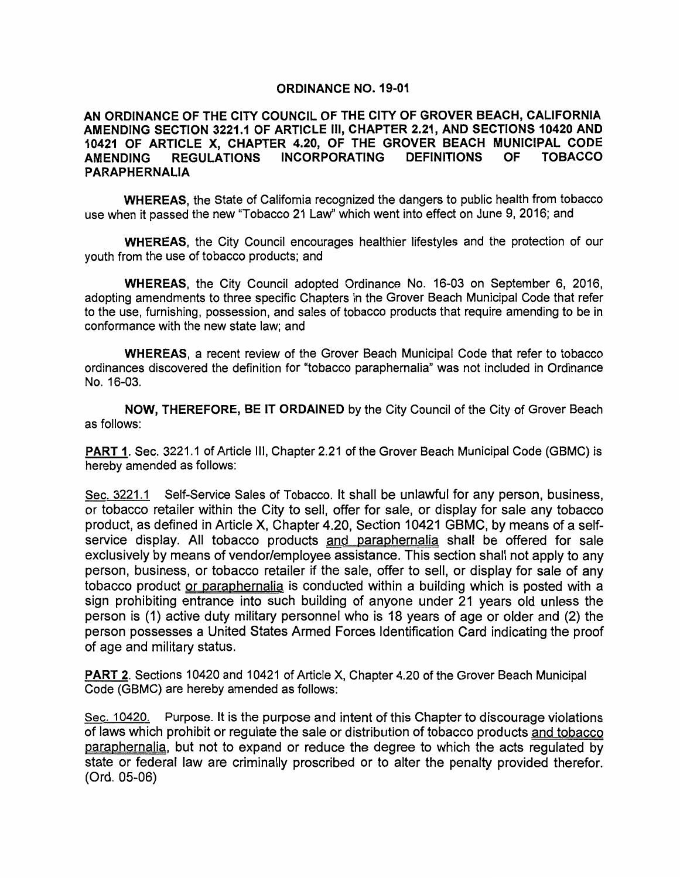## ORDINANCE NO. 19-01

## AN ORDINANCE OF THE CITY COUNCIL OF THE CITY OF GROVER BEACH, CALIFORNIA AMENDING SECTION 3221.1 OF ARTICLE Ill, CHAPTER 2.21, AND SECTIONS 10420 AND 10421 OF ARTICLE X, CHAPTER 4.20, OF THE GROVER BEACH MUNICIPAL CODE<br>AMENDING REGULATIONS INCORPORATING DEFINITIONS OF TOBACCO AMENDING REGULATIONS INCORPORATING PARAPHERNALIA

WHEREAS, the State of California recognized the dangers to public health from tobacco use when it passed the new "Tobacco 21 Law" which went into effect on June 9, 2016; and

WHEREAS, the City Council encourages healthier lifestyles and the protection of our youth from the use of tobacco products; and

WHEREAS, the City Council adopted Ordinance No. 16-03 on September 6, 2016, adopting amendments to three specific Chapters in the Grover Beach Municipal Code that refer to the use, furnishing, possession, and sales of tobacco products that require amending to be in conformance with the new state law; and

WHEREAS, a recent review of the Grover Beach Municipal Code that refer to tobacco ordinances discovered the definition for "tobacco paraphernalia" was not included in Ordinance No. 16-03.

NOW, THEREFORE, BE IT ORDAINED by the City Council of the City of Grover Beach as follows:

PART 1. Sec. 3221.1 of Article III, Chapter 2.21 of the Grover Beach Municipal Code (GBMC) is hereby amended as follows:

Sec. 3221.1 Self-Service Sales of Tobacco. It shall be unlawful for any person, business, or tobacco retailer within the City to sell, offer for sale, or display for sale any tobacco product, as defined in Article X, Chapter 4.20, Section 10421 GBMC, by means of a selfservice display. All tobacco products and paraphernalia shall be offered for sale exclusively by means of vendor/employee assistance. This section shall not apply to any person, business, or tobacco retailer if the sale, offer to sell, or display for sale of any tobacco product or paraphernalia is conducted within a building which is posted with a sign prohibiting entrance into such building of anyone under 21 years old unless the person is (1) active duty military personnel who is 18 years of age or older and (2) the person possesses a United States Armed Forces Identification Card indicating the proof of age and military status.

PART 2. Sections 10420 and 10421 of Article X, Chapter 4.20 of the Grover Beach Municipal Code (GBMC) are hereby amended as follows:

Sec. 10420. Purpose. It is the purpose and intent of this Chapter to discourage violations of laws which prohibit or regulate the sale or distribution of tobacco products and tobacco paraphernalia, but not to expand or reduce the degree to which the acts regulated by state or federal law are criminally proscribed or to alter the penalty provided therefor. (Ord. 05-06)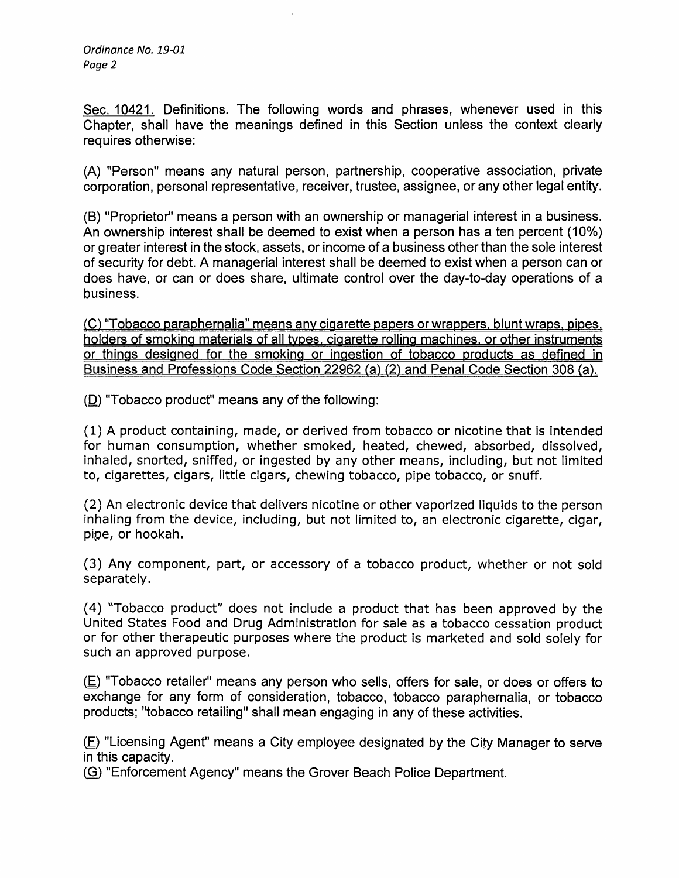Sec. 10421. Definitions. The following words and phrases, whenever used in this Chapter, shall have the meanings defined in this Section unless the context clearly requires otherwise:

(A) "Person" means any natural person, partnership, cooperative association, private corporation, personal representative, receiver, trustee, assignee, or any other legal entity.

(B) "Proprietor" means a person with an ownership or managerial interest in a business. An ownership interest shall be deemed to exist when a person has a ten percent (10%) or greater interest in the stock, assets, or income of a business other than the sole interest of security for debt. A managerial interest shall be deemed to exist when a person can or does have, or can or does share, ultimate control over the day-to-day operations of a business.

(C) "Tobacco paraphernalia" means any cigarette papers or wrappers. blunt wraps. pipes. holders of smoking materials of all tvpes. cigarette rolling machines. or other instruments or things designed for the smoking or ingestion of tobacco products as defined in Business and Professions Code Section 22962 (a) (2) and Penal Code Section 308 (a).

(D) "Tobacco product" means any of the following:

(1) A product containing, made, or derived from tobacco or nicotine that is intended for human consumption, whether smoked, heated, chewed, absorbed, dissolved, inhaled, snorted, sniffed, or ingested by any other means, including, but not limited to, cigarettes, cigars, little cigars, chewing tobacco, pipe tobacco, or snuff.

(2) An electronic device that delivers nicotine or other vaporized liquids to the person inhaling from the device, including, but not limited to, an electronic cigarette, cigar, pipe, or hookah.

(3) Any component, part, or accessory of a tobacco product, whether or not sold separately.

( 4) "Tobacco product" does not include a product that has been approved by the United States Food and Drug Administration for sale as a tobacco cessation product or for other therapeutic purposes where the product is marketed and sold solely for such an approved purpose.

 $(E)$  "Tobacco retailer" means any person who sells, offers for sale, or does or offers to exchange for any form of consideration, tobacco, tobacco paraphernalia, or tobacco products; "tobacco retailing" shall mean engaging in any of these activities.

 $(E)$  "Licensing Agent" means a City employee designated by the City Manager to serve in this capacity.

(G) "Enforcement Agency" means the Grover Beach Police Department.